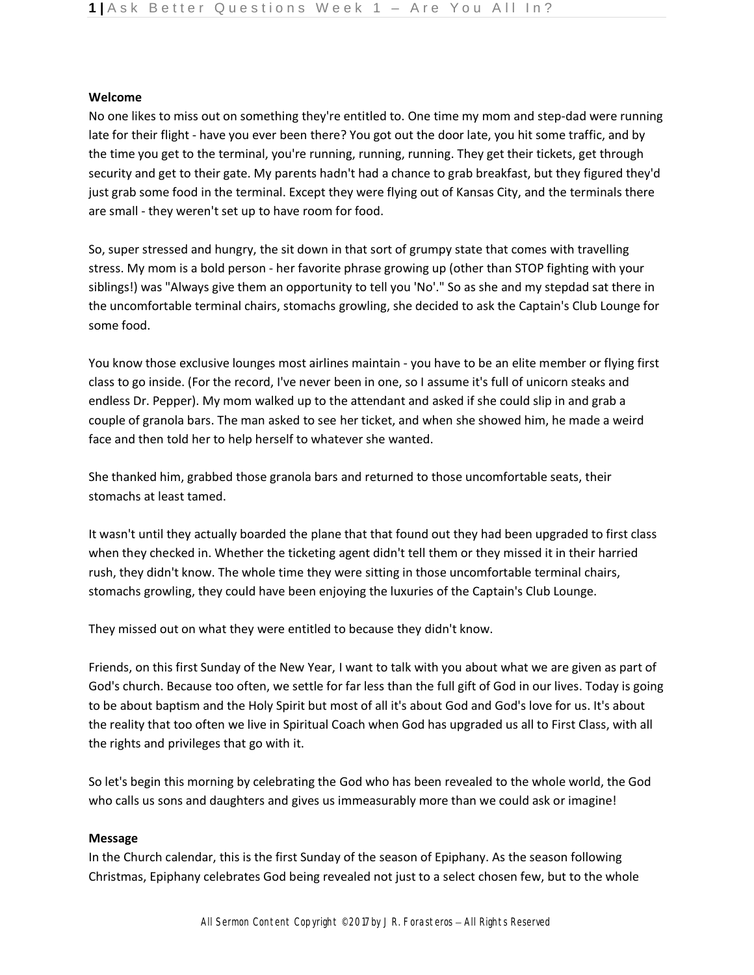### **Welcome**

No one likes to miss out on something they're entitled to. One time my mom and step-dad were running late for their flight - have you ever been there? You got out the door late, you hit some traffic, and by the time you get to the terminal, you're running, running, running. They get their tickets, get through security and get to their gate. My parents hadn't had a chance to grab breakfast, but they figured they'd just grab some food in the terminal. Except they were flying out of Kansas City, and the terminals there are small - they weren't set up to have room for food.

So, super stressed and hungry, the sit down in that sort of grumpy state that comes with travelling stress. My mom is a bold person - her favorite phrase growing up (other than STOP fighting with your siblings!) was "Always give them an opportunity to tell you 'No'." So as she and my stepdad sat there in the uncomfortable terminal chairs, stomachs growling, she decided to ask the Captain's Club Lounge for some food.

You know those exclusive lounges most airlines maintain - you have to be an elite member or flying first class to go inside. (For the record, I've never been in one, so I assume it's full of unicorn steaks and endless Dr. Pepper). My mom walked up to the attendant and asked if she could slip in and grab a couple of granola bars. The man asked to see her ticket, and when she showed him, he made a weird face and then told her to help herself to whatever she wanted.

She thanked him, grabbed those granola bars and returned to those uncomfortable seats, their stomachs at least tamed.

It wasn't until they actually boarded the plane that that found out they had been upgraded to first class when they checked in. Whether the ticketing agent didn't tell them or they missed it in their harried rush, they didn't know. The whole time they were sitting in those uncomfortable terminal chairs, stomachs growling, they could have been enjoying the luxuries of the Captain's Club Lounge.

They missed out on what they were entitled to because they didn't know.

Friends, on this first Sunday of the New Year, I want to talk with you about what we are given as part of God's church. Because too often, we settle for far less than the full gift of God in our lives. Today is going to be about baptism and the Holy Spirit but most of all it's about God and God's love for us. It's about the reality that too often we live in Spiritual Coach when God has upgraded us all to First Class, with all the rights and privileges that go with it.

So let's begin this morning by celebrating the God who has been revealed to the whole world, the God who calls us sons and daughters and gives us immeasurably more than we could ask or imagine!

## **Message**

In the Church calendar, this is the first Sunday of the season of Epiphany. As the season following Christmas, Epiphany celebrates God being revealed not just to a select chosen few, but to the whole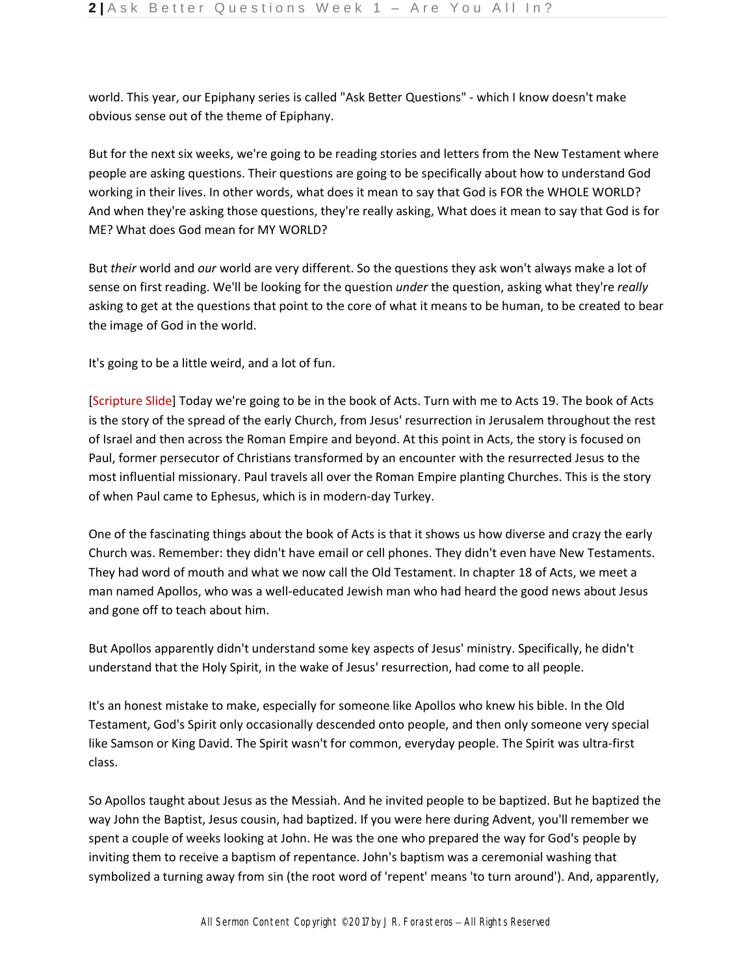world. This year, our Epiphany series is called "Ask Better Questions" - which I know doesn't make obvious sense out of the theme of Epiphany.

But for the next six weeks, we're going to be reading stories and letters from the New Testament where people are asking questions. Their questions are going to be specifically about how to understand God working in their lives. In other words, what does it mean to say that God is FOR the WHOLE WORLD? And when they're asking those questions, they're really asking, What does it mean to say that God is for ME? What does God mean for MY WORLD?

But *their* world and *our* world are very different. So the questions they ask won't always make a lot of sense on first reading. We'll be looking for the question *under* the question, asking what they're *really*  asking to get at the questions that point to the core of what it means to be human, to be created to bear the image of God in the world.

It's going to be a little weird, and a lot of fun.

[Scripture Slide] Today we're going to be in the book of Acts. Turn with me to Acts 19. The book of Acts is the story of the spread of the early Church, from Jesus' resurrection in Jerusalem throughout the rest of Israel and then across the Roman Empire and beyond. At this point in Acts, the story is focused on Paul, former persecutor of Christians transformed by an encounter with the resurrected Jesus to the most influential missionary. Paul travels all over the Roman Empire planting Churches. This is the story of when Paul came to Ephesus, which is in modern-day Turkey.

One of the fascinating things about the book of Acts is that it shows us how diverse and crazy the early Church was. Remember: they didn't have email or cell phones. They didn't even have New Testaments. They had word of mouth and what we now call the Old Testament. In chapter 18 of Acts, we meet a man named Apollos, who was a well-educated Jewish man who had heard the good news about Jesus and gone off to teach about him.

But Apollos apparently didn't understand some key aspects of Jesus' ministry. Specifically, he didn't understand that the Holy Spirit, in the wake of Jesus' resurrection, had come to all people.

It's an honest mistake to make, especially for someone like Apollos who knew his bible. In the Old Testament, God's Spirit only occasionally descended onto people, and then only someone very special like Samson or King David. The Spirit wasn't for common, everyday people. The Spirit was ultra-first class.

So Apollos taught about Jesus as the Messiah. And he invited people to be baptized. But he baptized the way John the Baptist, Jesus cousin, had baptized. If you were here during Advent, you'll remember we spent a couple of weeks looking at John. He was the one who prepared the way for God's people by inviting them to receive a baptism of repentance. John's baptism was a ceremonial washing that symbolized a turning away from sin (the root word of 'repent' means 'to turn around'). And, apparently,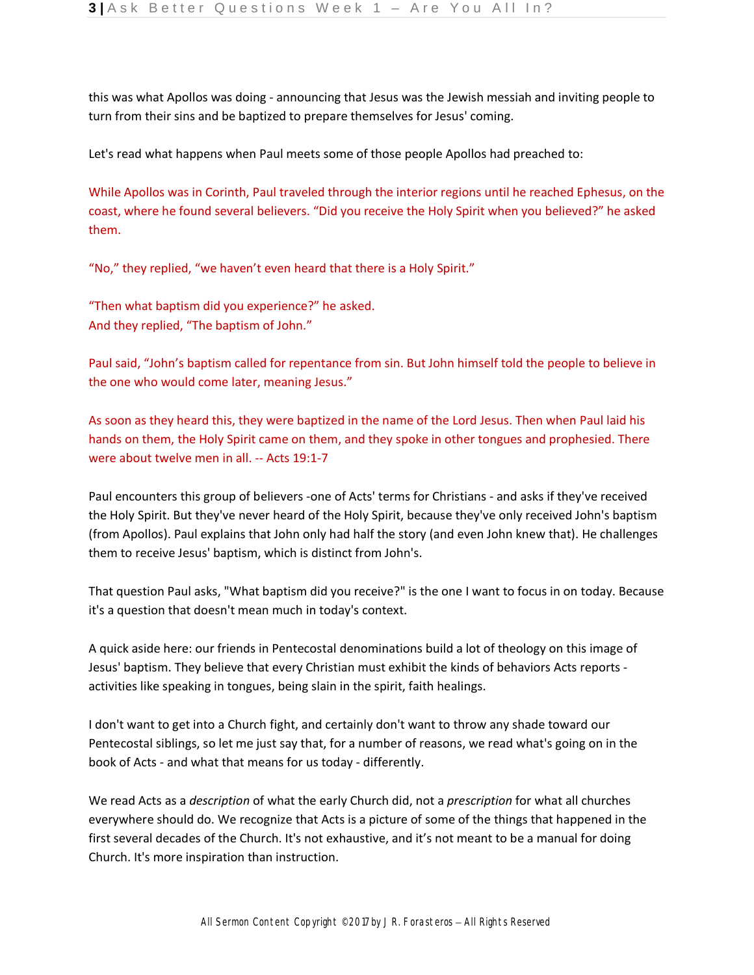this was what Apollos was doing - announcing that Jesus was the Jewish messiah and inviting people to turn from their sins and be baptized to prepare themselves for Jesus' coming.

Let's read what happens when Paul meets some of those people Apollos had preached to:

While Apollos was in Corinth, Paul traveled through the interior regions until he reached Ephesus, on the coast, where he found several believers. "Did you receive the Holy Spirit when you believed?" he asked them.

"No," they replied, "we haven't even heard that there is a Holy Spirit."

"Then what baptism did you experience?" he asked. And they replied, "The baptism of John."

Paul said, "John's baptism called for repentance from sin. But John himself told the people to believe in the one who would come later, meaning Jesus."

As soon as they heard this, they were baptized in the name of the Lord Jesus. Then when Paul laid his hands on them, the Holy Spirit came on them, and they spoke in other tongues and prophesied. There were about twelve men in all. -- Acts 19:1-7

Paul encounters this group of believers -one of Acts' terms for Christians - and asks if they've received the Holy Spirit. But they've never heard of the Holy Spirit, because they've only received John's baptism (from Apollos). Paul explains that John only had half the story (and even John knew that). He challenges them to receive Jesus' baptism, which is distinct from John's.

That question Paul asks, "What baptism did you receive?" is the one I want to focus in on today. Because it's a question that doesn't mean much in today's context.

A quick aside here: our friends in Pentecostal denominations build a lot of theology on this image of Jesus' baptism. They believe that every Christian must exhibit the kinds of behaviors Acts reports activities like speaking in tongues, being slain in the spirit, faith healings.

I don't want to get into a Church fight, and certainly don't want to throw any shade toward our Pentecostal siblings, so let me just say that, for a number of reasons, we read what's going on in the book of Acts - and what that means for us today - differently.

We read Acts as a *description* of what the early Church did, not a *prescription* for what all churches everywhere should do. We recognize that Acts is a picture of some of the things that happened in the first several decades of the Church. It's not exhaustive, and it's not meant to be a manual for doing Church. It's more inspiration than instruction.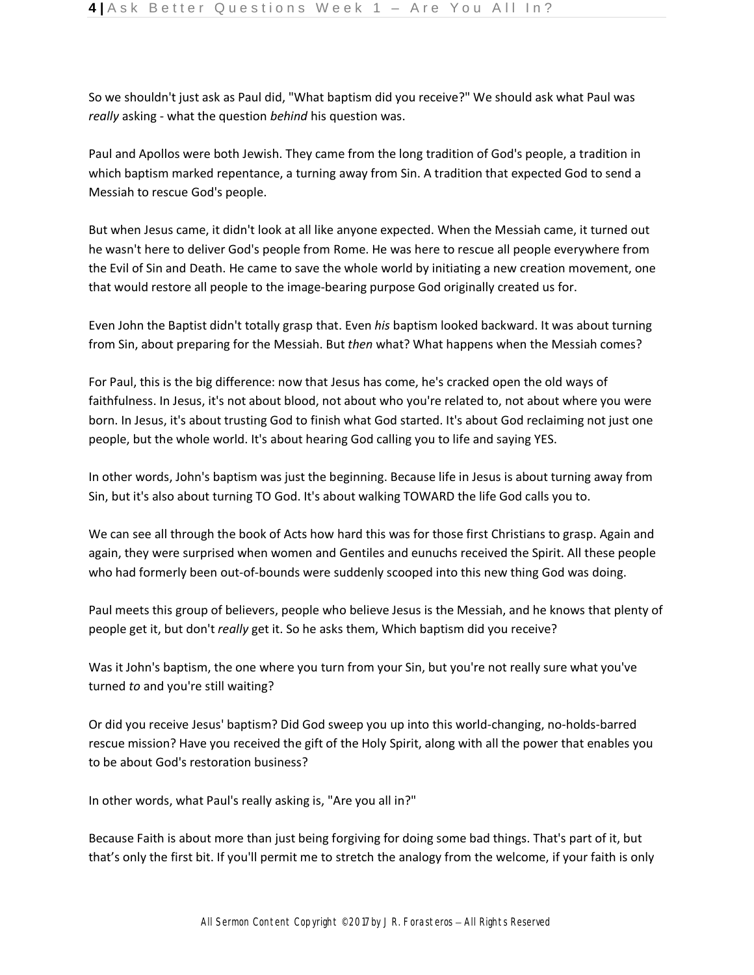So we shouldn't just ask as Paul did, "What baptism did you receive?" We should ask what Paul was *really* asking - what the question *behind* his question was.

Paul and Apollos were both Jewish. They came from the long tradition of God's people, a tradition in which baptism marked repentance, a turning away from Sin. A tradition that expected God to send a Messiah to rescue God's people.

But when Jesus came, it didn't look at all like anyone expected. When the Messiah came, it turned out he wasn't here to deliver God's people from Rome. He was here to rescue all people everywhere from the Evil of Sin and Death. He came to save the whole world by initiating a new creation movement, one that would restore all people to the image-bearing purpose God originally created us for.

Even John the Baptist didn't totally grasp that. Even *his* baptism looked backward. It was about turning from Sin, about preparing for the Messiah. But *then* what? What happens when the Messiah comes?

For Paul, this is the big difference: now that Jesus has come, he's cracked open the old ways of faithfulness. In Jesus, it's not about blood, not about who you're related to, not about where you were born. In Jesus, it's about trusting God to finish what God started. It's about God reclaiming not just one people, but the whole world. It's about hearing God calling you to life and saying YES.

In other words, John's baptism was just the beginning. Because life in Jesus is about turning away from Sin, but it's also about turning TO God. It's about walking TOWARD the life God calls you to.

We can see all through the book of Acts how hard this was for those first Christians to grasp. Again and again, they were surprised when women and Gentiles and eunuchs received the Spirit. All these people who had formerly been out-of-bounds were suddenly scooped into this new thing God was doing.

Paul meets this group of believers, people who believe Jesus is the Messiah, and he knows that plenty of people get it, but don't *really* get it. So he asks them, Which baptism did you receive?

Was it John's baptism, the one where you turn from your Sin, but you're not really sure what you've turned *to* and you're still waiting?

Or did you receive Jesus' baptism? Did God sweep you up into this world-changing, no-holds-barred rescue mission? Have you received the gift of the Holy Spirit, along with all the power that enables you to be about God's restoration business?

In other words, what Paul's really asking is, "Are you all in?"

Because Faith is about more than just being forgiving for doing some bad things. That's part of it, but that's only the first bit. If you'll permit me to stretch the analogy from the welcome, if your faith is only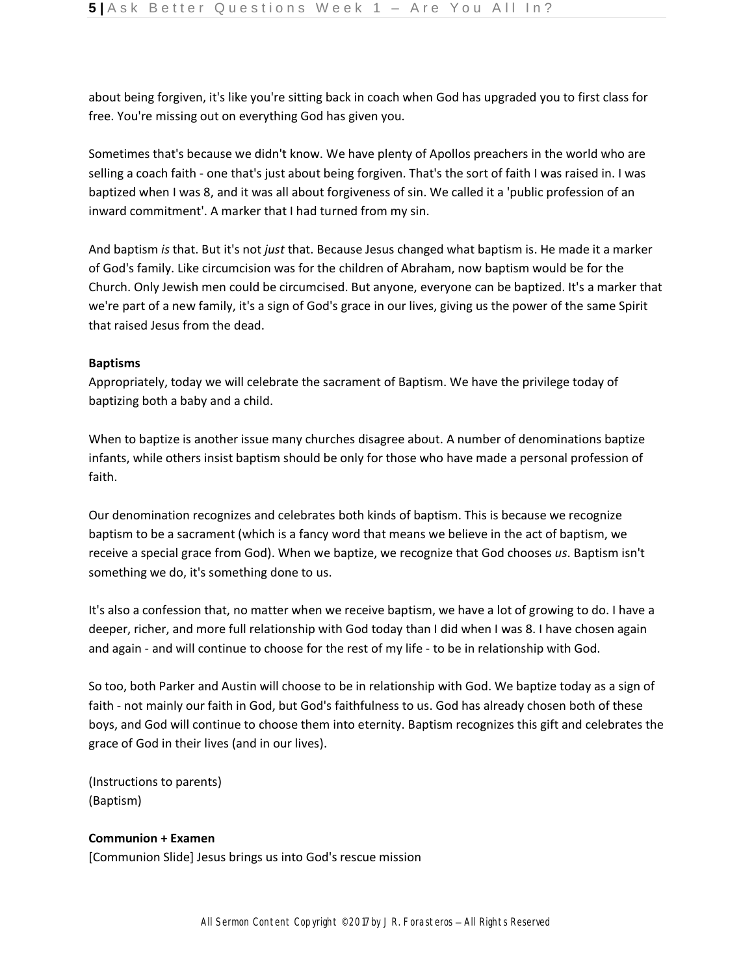about being forgiven, it's like you're sitting back in coach when God has upgraded you to first class for free. You're missing out on everything God has given you.

Sometimes that's because we didn't know. We have plenty of Apollos preachers in the world who are selling a coach faith - one that's just about being forgiven. That's the sort of faith I was raised in. I was baptized when I was 8, and it was all about forgiveness of sin. We called it a 'public profession of an inward commitment'. A marker that I had turned from my sin.

And baptism *is* that. But it's not *just* that. Because Jesus changed what baptism is. He made it a marker of God's family. Like circumcision was for the children of Abraham, now baptism would be for the Church. Only Jewish men could be circumcised. But anyone, everyone can be baptized. It's a marker that we're part of a new family, it's a sign of God's grace in our lives, giving us the power of the same Spirit that raised Jesus from the dead.

# **Baptisms**

Appropriately, today we will celebrate the sacrament of Baptism. We have the privilege today of baptizing both a baby and a child.

When to baptize is another issue many churches disagree about. A number of denominations baptize infants, while others insist baptism should be only for those who have made a personal profession of faith.

Our denomination recognizes and celebrates both kinds of baptism. This is because we recognize baptism to be a sacrament (which is a fancy word that means we believe in the act of baptism, we receive a special grace from God). When we baptize, we recognize that God chooses *us*. Baptism isn't something we do, it's something done to us.

It's also a confession that, no matter when we receive baptism, we have a lot of growing to do. I have a deeper, richer, and more full relationship with God today than I did when I was 8. I have chosen again and again - and will continue to choose for the rest of my life - to be in relationship with God.

So too, both Parker and Austin will choose to be in relationship with God. We baptize today as a sign of faith - not mainly our faith in God, but God's faithfulness to us. God has already chosen both of these boys, and God will continue to choose them into eternity. Baptism recognizes this gift and celebrates the grace of God in their lives (and in our lives).

(Instructions to parents) (Baptism)

### **Communion + Examen**

[Communion Slide] Jesus brings us into God's rescue mission